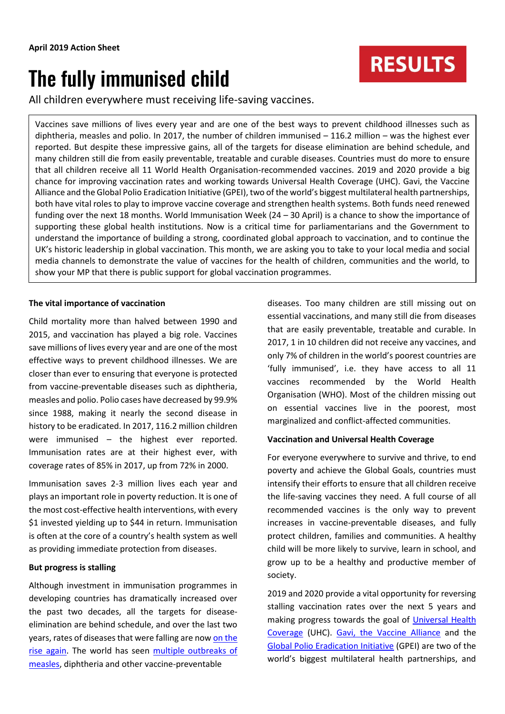# The fully immunised child

All children everywhere must receiving life-saving vaccines.

Vaccines save millions of lives every year and are one of the best ways to prevent childhood illnesses such as diphtheria, measles and polio. In 2017, the number of children immunised – 116.2 million – was the highest ever reported. But despite these impressive gains, all of the targets for disease elimination are behind schedule, and many children still die from easily preventable, treatable and curable diseases. Countries must do more to ensure that all children receive all 11 World Health Organisation-recommended vaccines. 2019 and 2020 provide a big chance for improving vaccination rates and working towards Universal Health Coverage (UHC). Gavi, the Vaccine Alliance and the Global Polio Eradication Initiative (GPEI), two of the world's biggest multilateral health partnerships, both have vital roles to play to improve vaccine coverage and strengthen health systems. Both funds need renewed funding over the next 18 months. World Immunisation Week (24 – 30 April) is a chance to show the importance of supporting these global health institutions. Now is a critical time for parliamentarians and the Government to understand the importance of building a strong, coordinated global approach to vaccination, and to continue the UK's historic leadership in global vaccination. This month, we are asking you to take to your local media and social media channels to demonstrate the value of vaccines for the health of children, communities and the world, to show your MP that there is public support for global vaccination programmes.

# **The vital importance of vaccination**

Child mortality more than halved between 1990 and 2015, and vaccination has played a big role. Vaccines save millions of lives every year and are one of the most effective ways to prevent childhood illnesses. We are closer than ever to ensuring that everyone is protected from vaccine-preventable diseases such as diphtheria, measles and polio. Polio cases have decreased by 99.9% since 1988, making it nearly the second disease in history to be eradicated. In 2017, 116.2 million children were immunised – the highest ever reported. Immunisation rates are at their highest ever, with coverage rates of 85% in 2017, up from 72% in 2000.

Immunisation saves 2-3 million lives each year and plays an important role in poverty reduction. It is one of the most cost-effective health interventions, with every \$1 invested yielding up to \$44 in return. Immunisation is often at the core of a country's health system as well as providing immediate protection from diseases.

## **But progress is stalling**

Although investment in immunisation programmes in developing countries has dramatically increased over the past two decades, all the targets for diseaseelimination are behind schedule, and over the last two years, rates of diseases that were falling are no[w on the](https://www.who.int/immunization/monitoring_surveillance/data/gs_gloprofile.pdf?ua=1)  [rise again.](https://www.who.int/immunization/monitoring_surveillance/data/gs_gloprofile.pdf?ua=1) The world has seen multiple outbreaks of [measles,](https://www.theguardian.com/society/2018/feb/19/who-warns-over-measles-immunisation-rates-as-cases-rise-400-across-europe) diphtheria and other vaccine-preventable

diseases. Too many children are still missing out on essential vaccinations, and many still die from diseases that are easily preventable, treatable and curable. In 2017, 1 in 10 children did not receive any vaccines, and only 7% of children in the world's poorest countries are 'fully immunised', i.e. they have access to all 11 vaccines recommended by the World Health Organisation (WHO). Most of the children missing out on essential vaccines live in the poorest, most marginalized and conflict-affected communities.

## **Vaccination and Universal Health Coverage**

For everyone everywhere to survive and thrive, to end poverty and achieve the Global Goals, countries must intensify their efforts to ensure that all children receive the life-saving vaccines they need. A full course of all recommended vaccines is the only way to prevent increases in vaccine-preventable diseases, and fully protect children, families and communities. A healthy child will be more likely to survive, learn in school, and grow up to be a healthy and productive member of society.

2019 and 2020 provide a vital opportunity for reversing stalling vaccination rates over the next 5 years and making progress towards the goal of [Universal Health](https://www.who.int/news-room/fact-sheets/detail/universal-health-coverage-(uhc))  [Coverage](https://www.who.int/news-room/fact-sheets/detail/universal-health-coverage-(uhc)) (UHC). [Gavi, the Vaccine Alliance](https://www.gavi.org/) and the [Global Polio Eradication Initiative](http://polioeradication.org/) (GPEI) are two of the world's biggest multilateral health partnerships, and